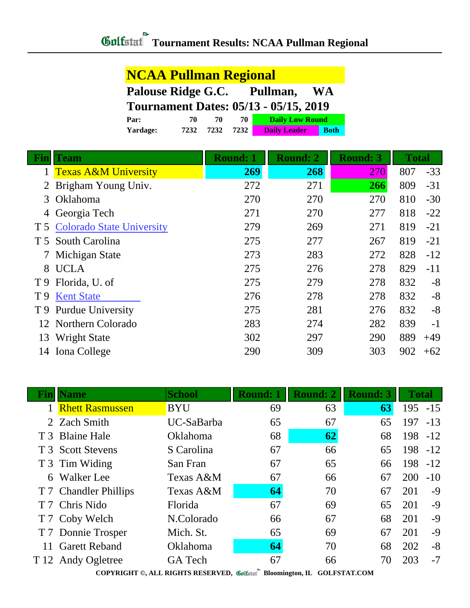| <b>NCAA Pullman Regional</b>                 |      |      |      |                        |             |  |  |
|----------------------------------------------|------|------|------|------------------------|-------------|--|--|
| Palouse Ridge G.C.<br>Pullman,<br><b>WA</b>  |      |      |      |                        |             |  |  |
| <b>Tournament Dates: 05/13 - 05/15, 2019</b> |      |      |      |                        |             |  |  |
| Par:                                         | 70   | 70   | 70   | <b>Daily Low Round</b> |             |  |  |
| <b>Yardage:</b>                              | 7232 | 7232 | 7232 | <b>Daily Leader</b>    | <b>Both</b> |  |  |

| Fin | <b>Team</b>                     | <b>Round: 1</b> | <b>Round: 2</b> | <b>Round: 3</b> | <b>Total</b> |       |
|-----|---------------------------------|-----------------|-----------------|-----------------|--------------|-------|
|     | <b>Texas A&amp;M University</b> | 269             | 268             | 270             | 807          | $-33$ |
| 2   | Brigham Young Univ.             | 272             | 271             | 266             | 809          | $-31$ |
| 3   | Oklahoma                        | 270             | 270             | 270             | 810          | $-30$ |
|     | 4 Georgia Tech                  | 271             | 270             | 277             | 818          | $-22$ |
|     | T 5 Colorado State University   | 279             | 269             | 271             | 819          | $-21$ |
|     | T 5 South Carolina              | 275             | 277             | 267             | 819          | $-21$ |
|     | Michigan State                  | 273             | 283             | 272             | 828          | $-12$ |
|     | 8 UCLA                          | 275             | 276             | 278             | 829          | $-11$ |
|     | T 9 Florida, U. of              | 275             | 279             | 278             | 832          | $-8$  |
| T 9 | <b>Kent State</b>               | 276             | 278             | 278             | 832          | $-8$  |
| T 9 | <b>Purdue University</b>        | 275             | 281             | 276             | 832          | $-8$  |
| 12  | Northern Colorado               | 283             | 274             | 282             | 839          | $-1$  |
| 13  | <b>Wright State</b>             | 302             | 297             | 290             | 889          | $+49$ |
| 14  | Iona College                    | 290             | 309             | 303             | 902          | $+62$ |

|                                                                                                                                                                                                    | <b>Name</b>            | <b>School</b>   | <b>Round: 1</b> | <b>Round: 2</b> | <b>Round: 3</b> | <b>Total</b> |       |  |
|----------------------------------------------------------------------------------------------------------------------------------------------------------------------------------------------------|------------------------|-----------------|-----------------|-----------------|-----------------|--------------|-------|--|
|                                                                                                                                                                                                    | <b>Rhett Rasmussen</b> | <b>BYU</b>      | 69              | 63              | 63              | $195 - 15$   |       |  |
|                                                                                                                                                                                                    | 2 Zach Smith           | UC-SaBarba      | 65              | 67              | 65              | 197          | $-13$ |  |
|                                                                                                                                                                                                    | T 3 Blaine Hale        | <b>Oklahoma</b> | 68              | 62              | 68              | 198          | $-12$ |  |
|                                                                                                                                                                                                    | T 3 Scott Stevens      | S Carolina      | 67              | 66              | 65              | 198          | $-12$ |  |
|                                                                                                                                                                                                    | T 3 Tim Widing         | San Fran        | 67              | 65              | 66              | 198          | $-12$ |  |
| 6                                                                                                                                                                                                  | <b>Walker</b> Lee      | Texas A&M       | 67              | 66              | 67              | 200          | $-10$ |  |
|                                                                                                                                                                                                    | T 7 Chandler Phillips  | Texas A&M       | 64              | 70              | 67              | 201          | $-9$  |  |
|                                                                                                                                                                                                    | T 7 Chris Nido         | Florida         | 67              | 69              | 65              | 201          | $-9$  |  |
|                                                                                                                                                                                                    | T 7 Coby Welch         | N.Colorado      | 66              | 67              | 68              | 201          | $-9$  |  |
|                                                                                                                                                                                                    | T 7 Donnie Trosper     | Mich. St.       | 65              | 69              | 67              | 201          | $-9$  |  |
| 11                                                                                                                                                                                                 | <b>Garett Reband</b>   | <b>Oklahoma</b> | 64              | 70              | 68              | 202          | $-8$  |  |
|                                                                                                                                                                                                    | T 12 Andy Ogletree     | <b>GA</b> Tech  | 67              | 66              | 70              | 203          | $-7$  |  |
| $\overline{H}$ $\overline{O}$ $\overline{O}$ $\overline{H}$ $\overline{O}$ $\overline{H}$ $\overline{O}$ $\overline{O}$ $\overline{H}$ $\overline{O}$ $\overline{O}$ $\overline{H}$ $\overline{O}$ |                        |                 |                 |                 |                 |              |       |  |

**COPYRIGHT ©, ALL RIGHTS RESERVED, Bloomington, IL GOLFSTAT.COM**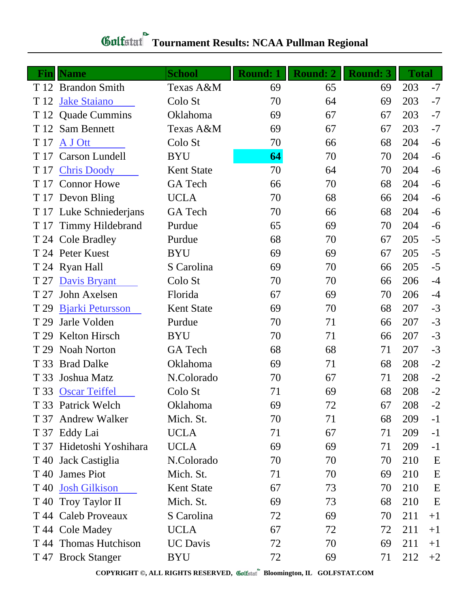## **Gulfatat** Tournament Results: NCAA Pullman Regional

| Finll | <b>Name</b>              | <b>School</b>     | <b>Round: 1</b> | <b>Round: 2</b> | <b>Round: 3</b> | <b>Total</b> |      |
|-------|--------------------------|-------------------|-----------------|-----------------|-----------------|--------------|------|
|       | T 12 Brandon Smith       | Texas A&M         | 69              | 65              | 69              | 203          | $-7$ |
| T 12  | <b>Jake Staiano</b>      | Colo St           | 70              | 64              | 69              | 203          | $-7$ |
|       | T 12 Quade Cummins       | Oklahoma          | 69              | 67              | 67              | 203          | $-7$ |
| T 12  | Sam Bennett              | Texas A&M         | 69              | 67              | 67              | 203          | $-7$ |
| T 17  | A J Ott                  | Colo St           | 70              | 66              | 68              | 204          | $-6$ |
| T 17  | <b>Carson Lundell</b>    | <b>BYU</b>        | 64              | 70              | 70              | 204          | $-6$ |
| T 17  | <b>Chris Doody</b>       | <b>Kent State</b> | 70              | 64              | 70              | 204          | $-6$ |
| T 17  | <b>Connor Howe</b>       | GA Tech           | 66              | 70              | 68              | 204          | $-6$ |
|       | T 17 Devon Bling         | <b>UCLA</b>       | 70              | 68              | 66              | 204          | $-6$ |
|       | T 17 Luke Schniederjans  | <b>GA</b> Tech    | 70              | 66              | 68              | 204          | $-6$ |
| T 17  | <b>Timmy Hildebrand</b>  | Purdue            | 65              | 69              | 70              | 204          | $-6$ |
|       | T 24 Cole Bradley        | Purdue            | 68              | 70              | 67              | 205          | $-5$ |
|       | T 24 Peter Kuest         | <b>BYU</b>        | 69              | 69              | 67              | 205          | $-5$ |
|       | T 24 Ryan Hall           | S Carolina        | 69              | 70              | 66              | 205          | $-5$ |
| T 27  | <b>Davis Bryant</b>      | Colo St           | 70              | 70              | 66              | 206          | $-4$ |
| T 27  | John Axelsen             | Florida           | 67              | 69              | 70              | 206          | $-4$ |
| T 29  | <b>Bjarki Petursson</b>  | <b>Kent State</b> | 69              | 70              | 68              | 207          | $-3$ |
| T 29  | Jarle Volden             | Purdue            | 70              | 71              | 66              | 207          | $-3$ |
| T 29  | <b>Kelton Hirsch</b>     | <b>BYU</b>        | 70              | 71              | 66              | 207          | $-3$ |
| T 29  | <b>Noah Norton</b>       | <b>GA</b> Tech    | 68              | 68              | 71              | 207          | $-3$ |
| T 33  | <b>Brad Dalke</b>        | Oklahoma          | 69              | 71              | 68              | 208          | $-2$ |
| T 33  | Joshua Matz              | N.Colorado        | 70              | 67              | 71              | 208          | $-2$ |
| T 33  | <b>Oscar Teiffel</b>     | Colo St           | 71              | 69              | 68              | 208          | $-2$ |
|       | T 33 Patrick Welch       | Oklahoma          | 69              | 72              | 67              | 208          | $-2$ |
| T 37  | <b>Andrew Walker</b>     | Mich. St.         | 70              | 71              | 68              | 209          | $-1$ |
|       | T 37 Eddy Lai            | <b>UCLA</b>       | 71              | 67              | 71              | 209          | $-1$ |
|       | T 37 Hidetoshi Yoshihara | <b>UCLA</b>       | 69              | 69              | 71              | 209          | $-1$ |
| T 40  | Jack Castiglia           | N.Colorado        | 70              | 70              | 70              | 210          | E    |
| T 40  | <b>James Piot</b>        | Mich. St.         | 71              | 70              | 69              | 210          | E    |
| T 40  | <b>Josh Gilkison</b>     | <b>Kent State</b> | 67              | 73              | 70              | 210          | E    |
|       | T 40 Troy Taylor II      | Mich. St.         | 69              | 73              | 68              | 210          | E    |
|       | T 44 Caleb Proveaux      | S Carolina        | 72              | 69              | 70              | 211          | $+1$ |
|       | T 44 Cole Madey          | <b>UCLA</b>       | 67              | 72              | 72              | 211          | $+1$ |
|       | T 44 Thomas Hutchison    | <b>UC</b> Davis   | 72              | 70              | 69              | 211          | $+1$ |
|       | T 47 Brock Stanger       | <b>BYU</b>        | 72              | 69              | 71              | 212          | $+2$ |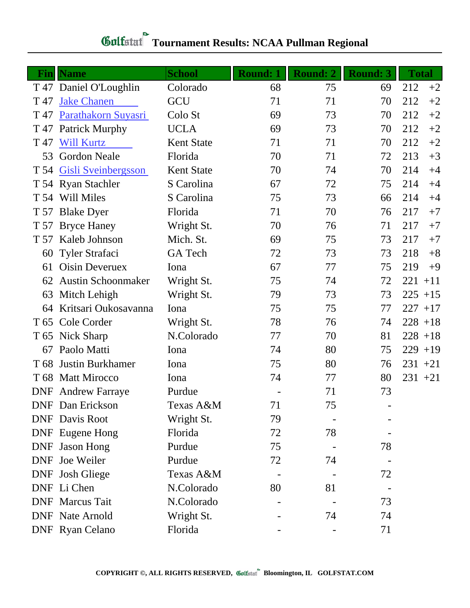## *Gulfatat* Tournament Results: NCAA Pullman Regional

| Finll           | <b>Name</b>               | <b>School</b>     | <b>Round: 1</b> | <b>Round: 2</b> | <b>Round: 3</b> | <b>Total</b> |
|-----------------|---------------------------|-------------------|-----------------|-----------------|-----------------|--------------|
|                 | T 47 Daniel O'Loughlin    | Colorado          | 68              | 75              | 69              | 212<br>$+2$  |
| T 47            | <b>Jake Chanen</b>        | GCU               | 71              | 71              | 70              | 212<br>$+2$  |
| T 47            | Parathakorn Suyasri       | Colo St           | 69              | 73              | 70              | 212<br>$+2$  |
| T 47            | <b>Patrick Murphy</b>     | <b>UCLA</b>       | 69              | 73              | 70              | 212<br>$+2$  |
| T 47            | <b>Will Kurtz</b>         | <b>Kent State</b> | 71              | 71              | 70              | 212<br>$+2$  |
| 53              | <b>Gordon Neale</b>       | Florida           | 70              | 71              | 72              | 213<br>$+3$  |
|                 | T 54 Gisli Sveinbergsson  | <b>Kent State</b> | 70              | 74              | 70              | 214<br>$+4$  |
|                 | T 54 Ryan Stachler        | S Carolina        | 67              | 72              | 75              | 214<br>$+4$  |
|                 | T 54 Will Miles           | S Carolina        | 75              | 73              | 66              | 214<br>$+4$  |
| T 57            | <b>Blake Dyer</b>         | Florida           | 71              | 70              | 76              | 217<br>$+7$  |
|                 | T 57 Bryce Haney          | Wright St.        | 70              | 76              | 71              | 217<br>$+7$  |
| T 57            | Kaleb Johnson             | Mich. St.         | 69              | 75              | 73              | 217<br>$+7$  |
| 60              | <b>Tyler Strafaci</b>     | GA Tech           | 72              | 73              | 73              | 218<br>$+8$  |
| 61              | <b>Oisin Deveruex</b>     | Iona              | 67              | 77              | 75              | 219<br>$+9$  |
| 62              | <b>Austin Schoonmaker</b> | Wright St.        | 75              | 74              | 72              | $221 + 11$   |
| 63              | Mitch Lehigh              | Wright St.        | 79              | 73              | 73              | $225 + 15$   |
| 64              | Kritsari Oukosavanna      | Iona              | 75              | 75              | 77              | $227 + 17$   |
|                 | T 65 Cole Corder          | Wright St.        | 78              | 76              | 74              | $228 + 18$   |
|                 | T 65 Nick Sharp           | N.Colorado        | 77              | 70              | 81              | $228 + 18$   |
| 67              | Paolo Matti               | Iona              | 74              | 80              | 75              | $229 + 19$   |
| T <sub>68</sub> | <b>Justin Burkhamer</b>   | Iona              | 75              | 80              | 76              | $231 + 21$   |
|                 | T 68 Matt Mirocco         | Iona              | 74              | 77              | 80              | $231 + 21$   |
|                 | <b>DNF</b> Andrew Farraye | Purdue            |                 | 71              | 73              |              |
|                 | <b>DNF</b> Dan Erickson   | Texas A&M         | 71              | 75              |                 |              |
|                 | <b>DNF</b> Davis Root     | Wright St.        | 79              |                 |                 |              |
|                 | <b>DNF</b> Eugene Hong    | Florida           | 72              | 78              |                 |              |
|                 | DNF Jason Hong            | Purdue            | 75              |                 | 78              |              |
|                 | <b>DNF</b> Joe Weiler     | Purdue            | 72              | 74              |                 |              |
|                 | DNF Josh Gliege           | Texas A&M         |                 |                 | 72              |              |
|                 | DNF Li Chen               | N.Colorado        | 80              | 81              |                 |              |
|                 | <b>DNF</b> Marcus Tait    | N.Colorado        |                 |                 | 73              |              |
|                 | <b>DNF</b> Nate Arnold    | Wright St.        |                 | 74              | 74              |              |
|                 | <b>DNF</b> Ryan Celano    | Florida           |                 |                 | 71              |              |